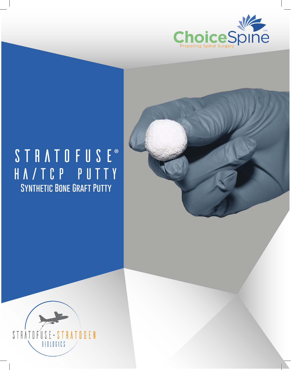



## STRATOFUSE® ha/tcp putty **Synthetic Bone Graft Putty**